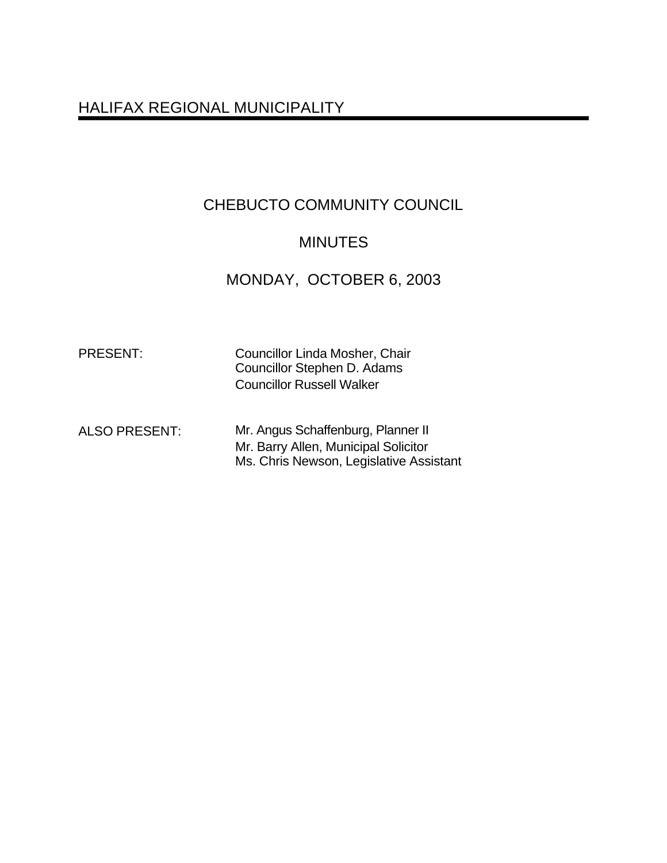# HALIFAX REGIONAL MUNICIPALITY

# CHEBUCTO COMMUNITY COUNCIL

# MINUTES

MONDAY, OCTOBER 6, 2003

Councillor Linda Mosher, Chair Councillor Stephen D. Adams Councillor Russell Walker

ALSO PRESENT: Mr. Angus Schaffenburg, Planner II Mr. Barry Allen, Municipal Solicitor Ms. Chris Newson, Legislative Assistant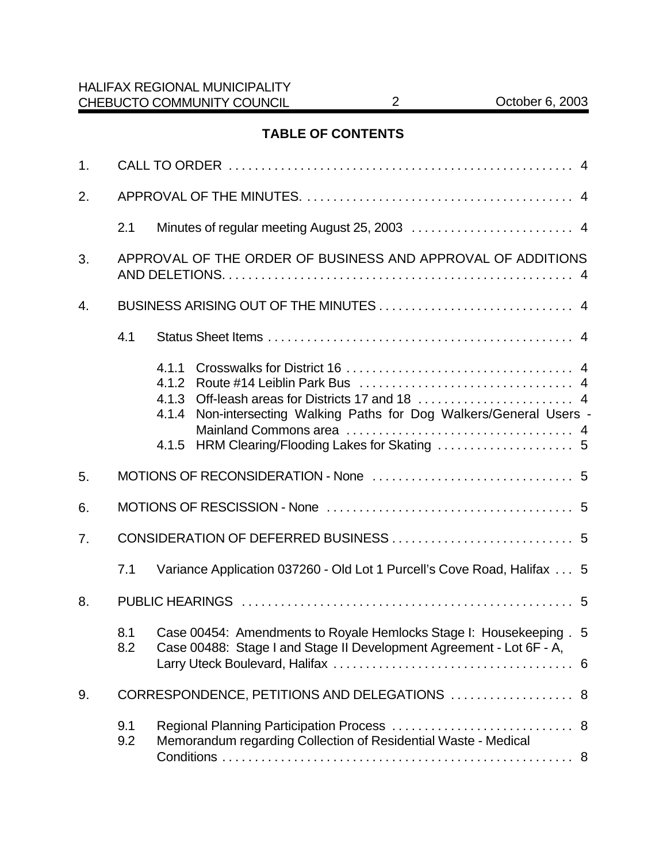# **TABLE OF CONTENTS**

| 1. |                                                                              |                                                                                                                                             |  |  |  |  |  |
|----|------------------------------------------------------------------------------|---------------------------------------------------------------------------------------------------------------------------------------------|--|--|--|--|--|
| 2. |                                                                              |                                                                                                                                             |  |  |  |  |  |
|    | 2.1                                                                          |                                                                                                                                             |  |  |  |  |  |
| 3. | APPROVAL OF THE ORDER OF BUSINESS AND APPROVAL OF ADDITIONS                  |                                                                                                                                             |  |  |  |  |  |
| 4. |                                                                              |                                                                                                                                             |  |  |  |  |  |
|    | 4.1                                                                          |                                                                                                                                             |  |  |  |  |  |
|    |                                                                              | 4.1.1<br>4.1.2<br>4.1.3<br>Non-intersecting Walking Paths for Dog Walkers/General Users -<br>4.1.4<br>4.1.5                                 |  |  |  |  |  |
| 5. |                                                                              |                                                                                                                                             |  |  |  |  |  |
| 6. |                                                                              |                                                                                                                                             |  |  |  |  |  |
| 7. |                                                                              |                                                                                                                                             |  |  |  |  |  |
|    | 7.1                                                                          | Variance Application 037260 - Old Lot 1 Purcell's Cove Road, Halifax  5                                                                     |  |  |  |  |  |
| 8. |                                                                              |                                                                                                                                             |  |  |  |  |  |
|    | 8.1<br>8.2                                                                   | Case 00454: Amendments to Royale Hemlocks Stage I: Housekeeping . 5<br>Case 00488: Stage I and Stage II Development Agreement - Lot 6F - A, |  |  |  |  |  |
| 9. | CORRESPONDENCE, PETITIONS AND DELEGATIONS  8                                 |                                                                                                                                             |  |  |  |  |  |
|    | 9.1<br>Memorandum regarding Collection of Residential Waste - Medical<br>9.2 |                                                                                                                                             |  |  |  |  |  |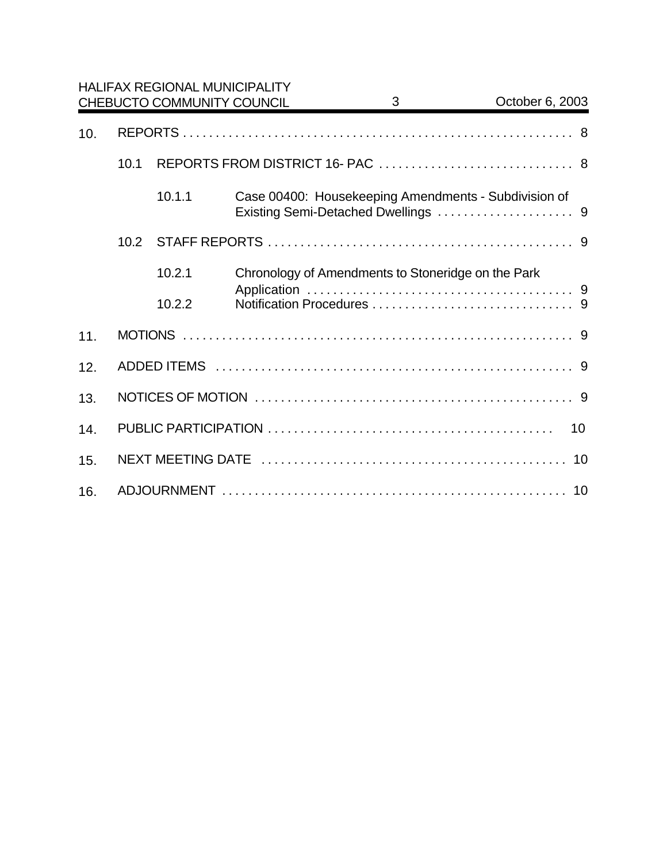|     |      |        | <b>HALIFAX REGIONAL MUNICIPALITY</b><br>CHEBUCTO COMMUNITY COUNCIL | 3 <sup>7</sup> | October 6, 2003                                      |  |  |
|-----|------|--------|--------------------------------------------------------------------|----------------|------------------------------------------------------|--|--|
| 10. |      |        |                                                                    |                |                                                      |  |  |
|     | 10.1 |        |                                                                    |                |                                                      |  |  |
|     |      | 10.1.1 |                                                                    |                | Case 00400: Housekeeping Amendments - Subdivision of |  |  |
|     | 10.2 |        |                                                                    |                |                                                      |  |  |
|     |      | 10.2.1 | Chronology of Amendments to Stoneridge on the Park                 |                |                                                      |  |  |
|     |      | 10.2.2 |                                                                    |                |                                                      |  |  |
| 11. |      |        |                                                                    |                |                                                      |  |  |
| 12. |      |        |                                                                    |                |                                                      |  |  |
| 13. |      |        |                                                                    |                |                                                      |  |  |
| 14. |      | 10     |                                                                    |                |                                                      |  |  |
| 15. |      |        |                                                                    |                |                                                      |  |  |
| 16. |      |        |                                                                    |                |                                                      |  |  |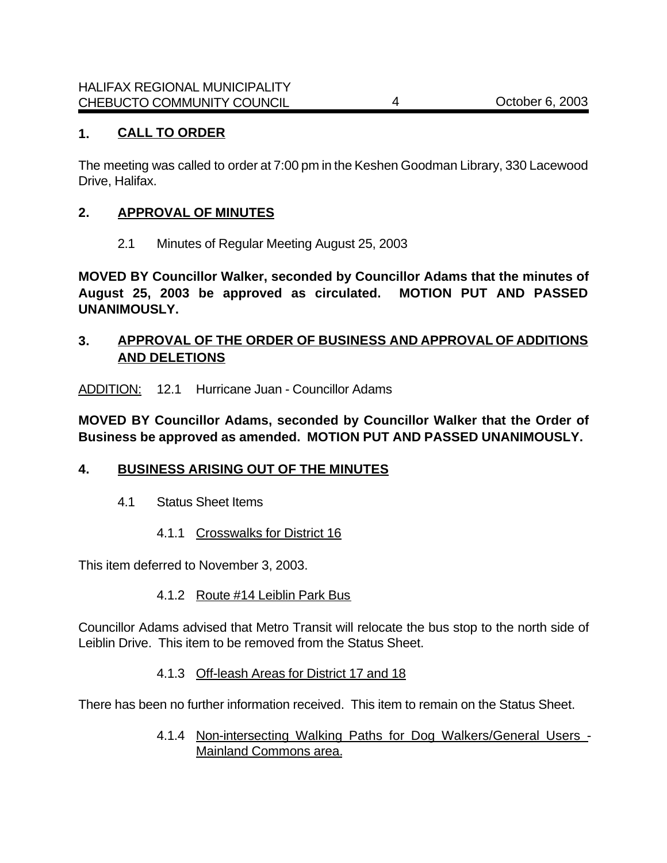### **1. CALL TO ORDER**

The meeting was called to order at 7:00 pm in the Keshen Goodman Library, 330 Lacewood Drive, Halifax.

### **2. APPROVAL OF MINUTES**

2.1 Minutes of Regular Meeting August 25, 2003

**MOVED BY Councillor Walker, seconded by Councillor Adams that the minutes of August 25, 2003 be approved as circulated. MOTION PUT AND PASSED UNANIMOUSLY.**

### **3. APPROVAL OF THE ORDER OF BUSINESS AND APPROVAL OF ADDITIONS AND DELETIONS**

ADDITION: 12.1 Hurricane Juan - Councillor Adams

**MOVED BY Councillor Adams, seconded by Councillor Walker that the Order of Business be approved as amended. MOTION PUT AND PASSED UNANIMOUSLY.**

### **4. BUSINESS ARISING OUT OF THE MINUTES**

- 4.1 Status Sheet Items
	- 4.1.1 Crosswalks for District 16

This item deferred to November 3, 2003.

4.1.2 Route #14 Leiblin Park Bus

Councillor Adams advised that Metro Transit will relocate the bus stop to the north side of Leiblin Drive. This item to be removed from the Status Sheet.

#### 4.1.3 Off-leash Areas for District 17 and 18

There has been no further information received. This item to remain on the Status Sheet.

4.1.4 Non-intersecting Walking Paths for Dog Walkers/General Users - Mainland Commons area.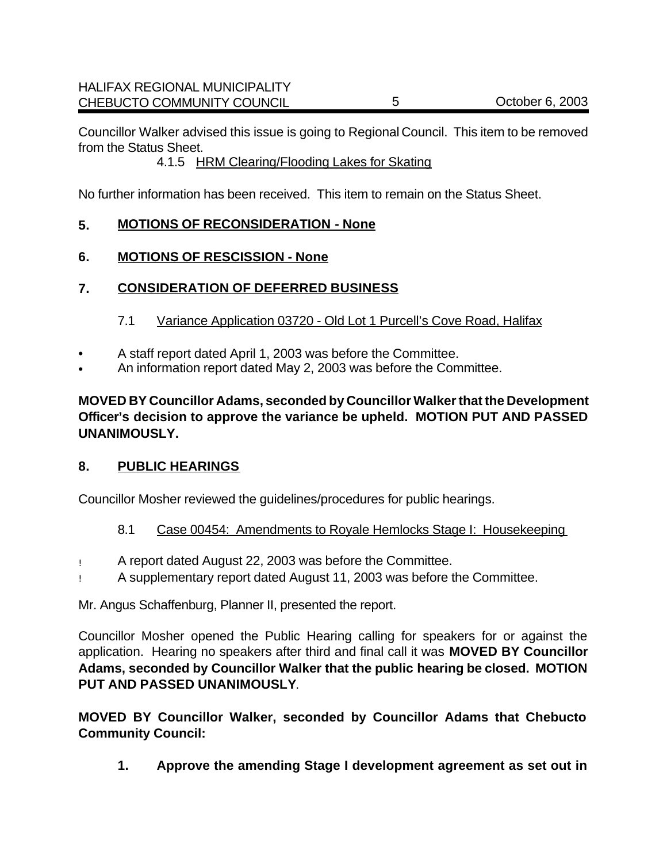Councillor Walker advised this issue is going to Regional Council. This item to be removed from the Status Sheet.

4.1.5 HRM Clearing/Flooding Lakes for Skating

No further information has been received. This item to remain on the Status Sheet.

# **5. MOTIONS OF RECONSIDERATION - None**

**6. MOTIONS OF RESCISSION - None**

# **7. CONSIDERATION OF DEFERRED BUSINESS**

### 7.1 Variance Application 03720 - Old Lot 1 Purcell's Cove Road, Halifax

- A staff report dated April 1, 2003 was before the Committee.
- An information report dated May 2, 2003 was before the Committee.

**MOVED BY Councillor Adams, seconded by Councillor Walker that the Development Officer's decision to approve the variance be upheld. MOTION PUT AND PASSED UNANIMOUSLY.**

### **8. PUBLIC HEARINGS**

Councillor Mosher reviewed the guidelines/procedures for public hearings.

# 8.1 Case 00454: Amendments to Royale Hemlocks Stage I: Housekeeping

- ! A report dated August 22, 2003 was before the Committee.
- ! A supplementary report dated August 11, 2003 was before the Committee.

Mr. Angus Schaffenburg, Planner II, presented the report.

Councillor Mosher opened the Public Hearing calling for speakers for or against the application. Hearing no speakers after third and final call it was **MOVED BY Councillor Adams, seconded by Councillor Walker that the public hearing be closed. MOTION PUT AND PASSED UNANIMOUSLY**.

**MOVED BY Councillor Walker, seconded by Councillor Adams that Chebucto Community Council:**

**1. Approve the amending Stage I development agreement as set out in**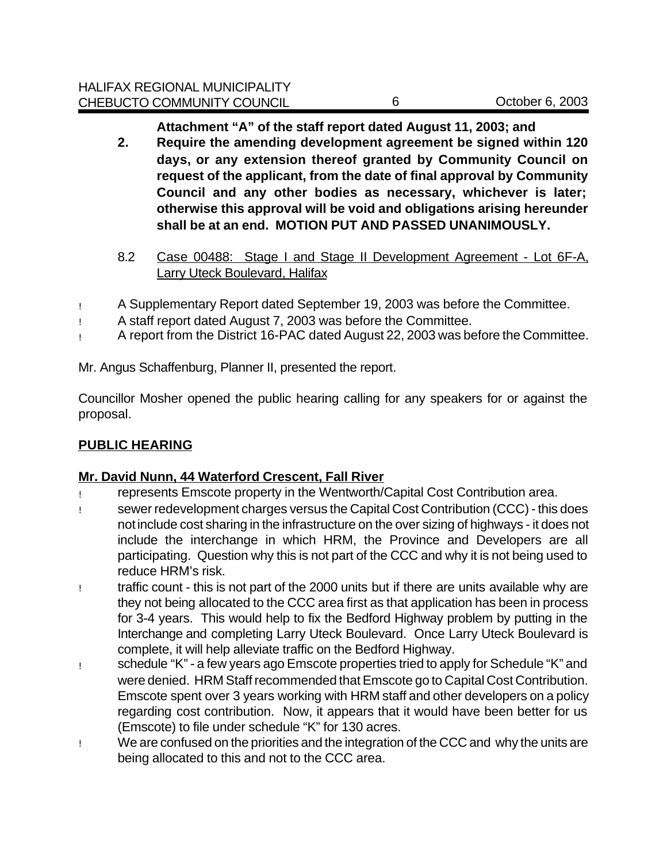**Attachment "A" of the staff report dated August 11, 2003; and** 

- **2. Require the amending development agreement be signed within 120 days, or any extension thereof granted by Community Council on request of the applicant, from the date of final approval by Community Council and any other bodies as necessary, whichever is later; otherwise this approval will be void and obligations arising hereunder shall be at an end. MOTION PUT AND PASSED UNANIMOUSLY.**
- 8.2 Case 00488: Stage I and Stage II Development Agreement Lot 6F-A, **Larry Uteck Boulevard, Halifax**
- ! A Supplementary Report dated September 19, 2003 was before the Committee.
- ! A staff report dated August 7, 2003 was before the Committee.
- ! A report from the District 16-PAC dated August 22, 2003 was before the Committee.

Mr. Angus Schaffenburg, Planner II, presented the report.

Councillor Mosher opened the public hearing calling for any speakers for or against the proposal.

# **PUBLIC HEARING**

# **Mr. David Nunn, 44 Waterford Crescent, Fall River**

- ! represents Emscote property in the Wentworth/Capital Cost Contribution area.
- ! sewer redevelopment charges versus the Capital Cost Contribution (CCC) this does not include cost sharing in the infrastructure on the over sizing of highways - it does not include the interchange in which HRM, the Province and Developers are all participating. Question why this is not part of the CCC and why it is not being used to reduce HRM's risk.
- ! traffic count this is not part of the 2000 units but if there are units available why are they not being allocated to the CCC area first as that application has been in process for 3-4 years. This would help to fix the Bedford Highway problem by putting in the Interchange and completing Larry Uteck Boulevard. Once Larry Uteck Boulevard is complete, it will help alleviate traffic on the Bedford Highway.
- ! schedule "K" a few years ago Emscote properties tried to apply for Schedule "K" and were denied. HRM Staff recommended that Emscote go to Capital Cost Contribution. Emscote spent over 3 years working with HRM staff and other developers on a policy regarding cost contribution. Now, it appears that it would have been better for us (Emscote) to file under schedule "K" for 130 acres.
- ! We are confused on the priorities and the integration of the CCC and why the units are being allocated to this and not to the CCC area.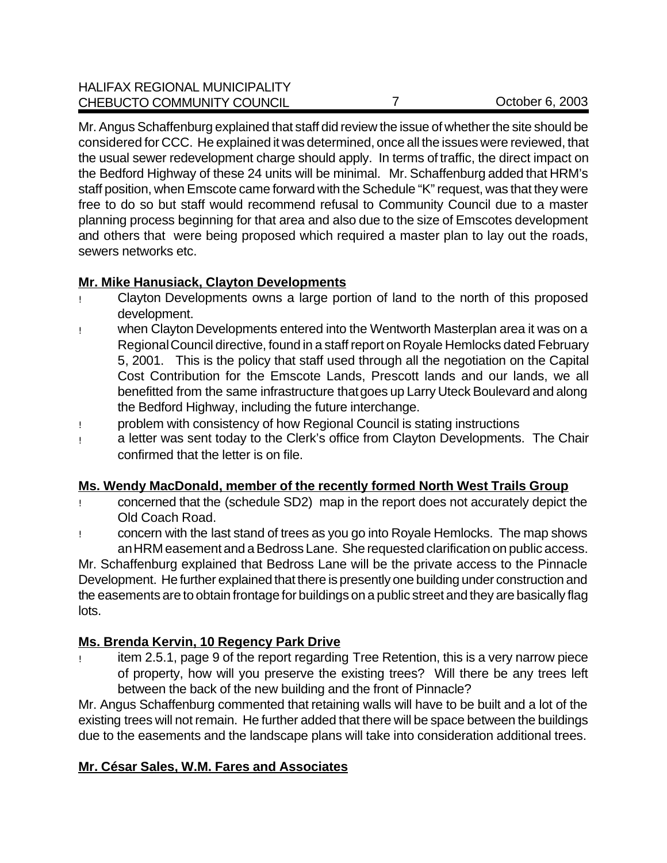### HALIFAX REGIONAL MUNICIPALITY CHEBUCTO COMMUNITY COUNCIL 7 7 COUNCIL 0 7 COUNCIL 0 7

Mr. Angus Schaffenburg explained that staff did review the issue of whether the site should be considered for CCC. He explained it was determined, once all the issues were reviewed, that the usual sewer redevelopment charge should apply. In terms of traffic, the direct impact on the Bedford Highway of these 24 units will be minimal. Mr. Schaffenburg added that HRM's staff position, when Emscote came forward with the Schedule "K" request, was that they were free to do so but staff would recommend refusal to Community Council due to a master planning process beginning for that area and also due to the size of Emscotes development and others that were being proposed which required a master plan to lay out the roads, sewers networks etc.

# **Mr. Mike Hanusiack, Clayton Developments**

- ! Clayton Developments owns a large portion of land to the north of this proposed development.
- ! when Clayton Developments entered into the Wentworth Masterplan area it was on a Regional Council directive, found in a staff report on Royale Hemlocks dated February 5, 2001. This is the policy that staff used through all the negotiation on the Capital Cost Contribution for the Emscote Lands, Prescott lands and our lands, we all benefitted from the same infrastructure that goes up Larry Uteck Boulevard and along the Bedford Highway, including the future interchange.
- ! problem with consistency of how Regional Council is stating instructions
- ! a letter was sent today to the Clerk's office from Clayton Developments. The Chair confirmed that the letter is on file.

# **Ms. Wendy MacDonald, member of the recently formed North West Trails Group**

- ! concerned that the (schedule SD2) map in the report does not accurately depict the Old Coach Road.
- ! concern with the last stand of trees as you go into Royale Hemlocks. The map shows an HRM easement and a Bedross Lane. She requested clarification on public access.

Mr. Schaffenburg explained that Bedross Lane will be the private access to the Pinnacle Development. He further explained that there is presently one building under construction and the easements are to obtain frontage for buildings on a public street and they are basically flag lots.

# **Ms. Brenda Kervin, 10 Regency Park Drive**

! item 2.5.1, page 9 of the report regarding Tree Retention, this is a very narrow piece of property, how will you preserve the existing trees? Will there be any trees left between the back of the new building and the front of Pinnacle?

Mr. Angus Schaffenburg commented that retaining walls will have to be built and a lot of the existing trees will not remain. He further added that there will be space between the buildings due to the easements and the landscape plans will take into consideration additional trees.

# **Mr. César Sales, W.M. Fares and Associates**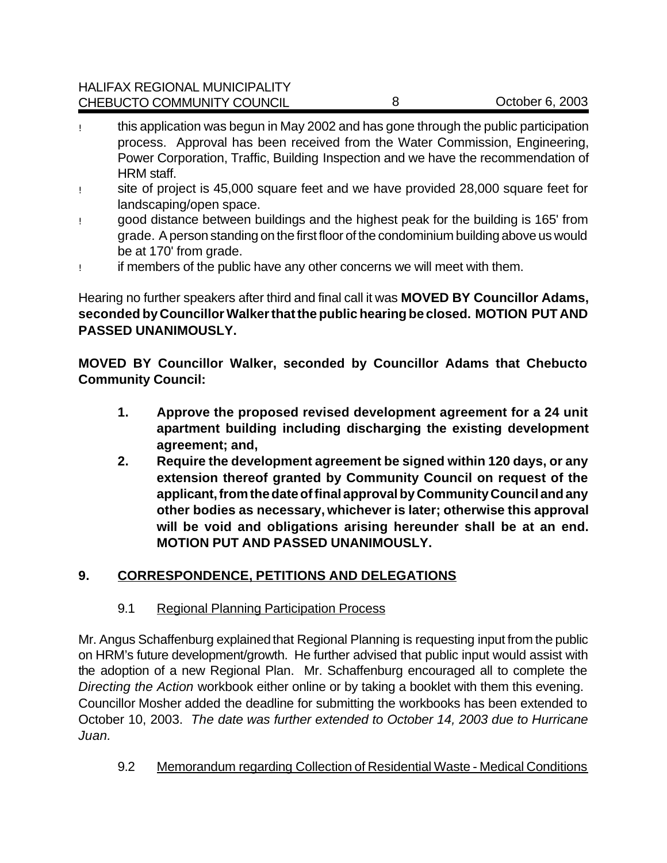- ! this application was begun in May 2002 and has gone through the public participation process. Approval has been received from the Water Commission, Engineering, Power Corporation, Traffic, Building Inspection and we have the recommendation of HRM staff.
- ! site of project is 45,000 square feet and we have provided 28,000 square feet for landscaping/open space.
- ! good distance between buildings and the highest peak for the building is 165' from grade. A person standing on the first floor of the condominium building above us would be at 170' from grade.
- ! if members of the public have any other concerns we will meet with them.

Hearing no further speakers after third and final call it was **MOVED BY Councillor Adams, seconded by Councillor Walker that the public hearing be closed. MOTION PUT AND PASSED UNANIMOUSLY.**

**MOVED BY Councillor Walker, seconded by Councillor Adams that Chebucto Community Council:**

- **1. Approve the proposed revised development agreement for a 24 unit apartment building including discharging the existing development agreement; and,**
- **2. Require the development agreement be signed within 120 days, or any extension thereof granted by Community Council on request of the applicant, from the date of final approval by Community Council and any other bodies as necessary, whichever is later; otherwise this approval will be void and obligations arising hereunder shall be at an end. MOTION PUT AND PASSED UNANIMOUSLY.**

# **9. CORRESPONDENCE, PETITIONS AND DELEGATIONS**

# 9.1 Regional Planning Participation Process

Mr. Angus Schaffenburg explained that Regional Planning is requesting input from the public on HRM's future development/growth. He further advised that public input would assist with the adoption of a new Regional Plan. Mr. Schaffenburg encouraged all to complete the *Directing the Action* workbook either online or by taking a booklet with them this evening. Councillor Mosher added the deadline for submitting the workbooks has been extended to October 10, 2003. *The date was further extended to October 14, 2003 due to Hurricane Juan.*

9.2 Memorandum regarding Collection of Residential Waste - Medical Conditions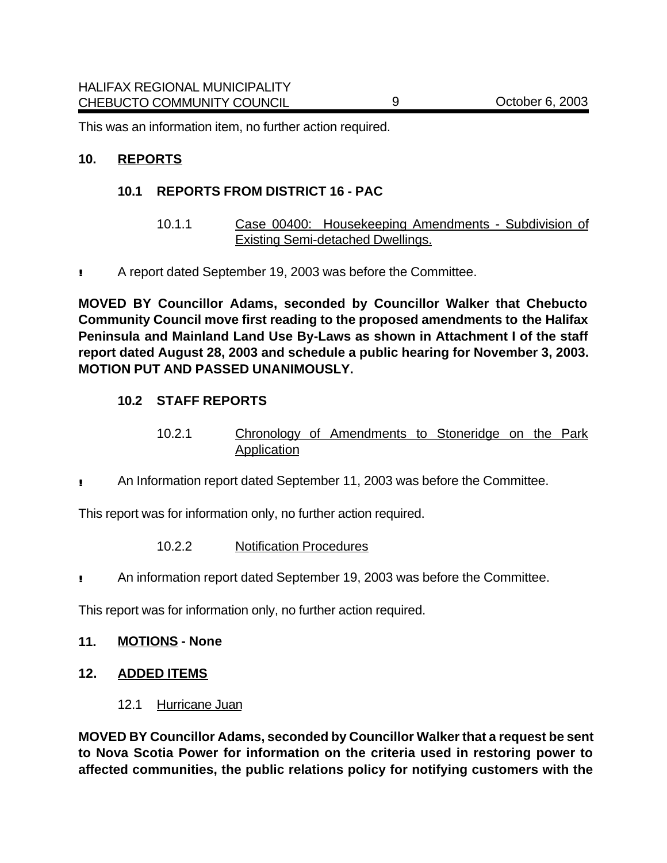This was an information item, no further action required.

### **10. REPORTS**

### **10.1 REPORTS FROM DISTRICT 16 - PAC**

- 10.1.1 Case 00400: Housekeeping Amendments Subdivision of Existing Semi-detached Dwellings.
- **!!** A report dated September 19, 2003 was before the Committee.

**MOVED BY Councillor Adams, seconded by Councillor Walker that Chebucto Community Council move first reading to the proposed amendments to the Halifax Peninsula and Mainland Land Use By-Laws as shown in Attachment I of the staff report dated August 28, 2003 and schedule a public hearing for November 3, 2003. MOTION PUT AND PASSED UNANIMOUSLY.**

### **10.2 STAFF REPORTS**

- 10.2.1 Chronology of Amendments to Stoneridge on the Park Application
- **!!** An Information report dated September 11, 2003 was before the Committee.

This report was for information only, no further action required.

- 10.2.2 Notification Procedures
- **!!** An information report dated September 19, 2003 was before the Committee.

This report was for information only, no further action required.

#### **11. MOTIONS - None**

- **12. ADDED ITEMS**
	- 12.1 Hurricane Juan

**MOVED BY Councillor Adams, seconded by Councillor Walker that a request be sent to Nova Scotia Power for information on the criteria used in restoring power to affected communities, the public relations policy for notifying customers with the**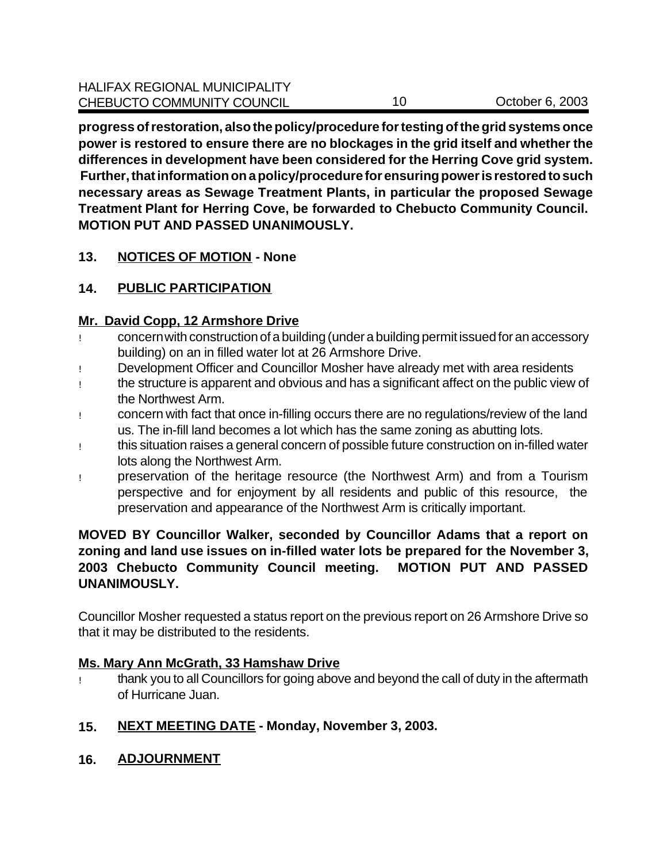**progress of restoration, also the policy/procedure for testing of the grid systems once power is restored to ensure there are no blockages in the grid itself and whether the differences in development have been considered for the Herring Cove grid system. Further, that information on a policy/procedure for ensuring power is restored to such necessary areas as Sewage Treatment Plants, in particular the proposed Sewage Treatment Plant for Herring Cove, be forwarded to Chebucto Community Council. MOTION PUT AND PASSED UNANIMOUSLY.** 

# **13. NOTICES OF MOTION - None**

# **14. PUBLIC PARTICIPATION**

### **Mr. David Copp, 12 Armshore Drive**

- ! concern with construction of a building (under a building permit issued for an accessory building) on an in filled water lot at 26 Armshore Drive.
- ! Development Officer and Councillor Mosher have already met with area residents
- ! the structure is apparent and obvious and has a significant affect on the public view of the Northwest Arm.
- ! concern with fact that once in-filling occurs there are no regulations/review of the land us. The in-fill land becomes a lot which has the same zoning as abutting lots.
- ! this situation raises a general concern of possible future construction on in-filled water lots along the Northwest Arm.
- ! preservation of the heritage resource (the Northwest Arm) and from a Tourism perspective and for enjoyment by all residents and public of this resource, the preservation and appearance of the Northwest Arm is critically important.

### **MOVED BY Councillor Walker, seconded by Councillor Adams that a report on zoning and land use issues on in-filled water lots be prepared for the November 3, 2003 Chebucto Community Council meeting. MOTION PUT AND PASSED UNANIMOUSLY.**

Councillor Mosher requested a status report on the previous report on 26 Armshore Drive so that it may be distributed to the residents.

# **Ms. Mary Ann McGrath, 33 Hamshaw Drive**

- ! thank you to all Councillors for going above and beyond the call of duty in the aftermath of Hurricane Juan.
- **15. NEXT MEETING DATE Monday, November 3, 2003.**
- **16. ADJOURNMENT**